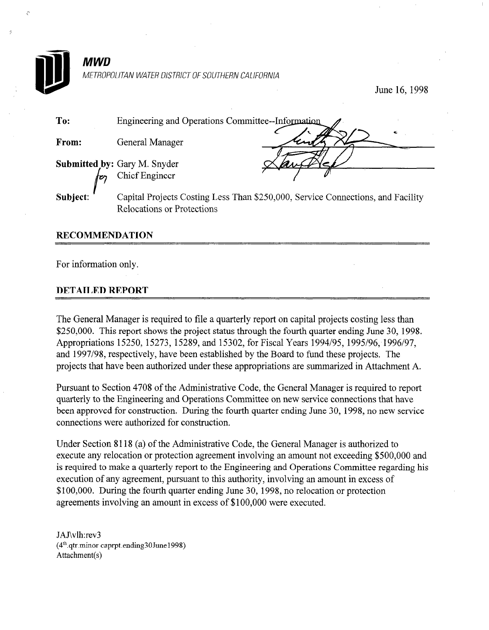

June 16,199s

| To:      | Engineering and Operations Committee--Information                                                                    |
|----------|----------------------------------------------------------------------------------------------------------------------|
| From:    | General Manager                                                                                                      |
|          | Submitted by: Gary M. Snyder<br>Chief Engineer                                                                       |
| Subject: | Capital Projects Costing Less Than \$250,000, Service Connections, and Facility<br><b>Relocations or Protections</b> |

#### **RECOMMENDATION**

For information only.

#### DETAILED REPORT

The General Manager is required to file a quarterly report on capital projects costing less than \$250,000. This report shows the project status through the fourth quarter ending June 30, 1998.  $\mu$ 250,000, 111110 15070, 15273, 15289, 15202, 514120, for Fig. Fig. 1995/96, 1996/97, 1996/97, 1996/97, 1996/97, 1996/97, 1996/97, 1996/97, 1996/97, 1996/97, 1996/97, 1996/97, 1996/97, 1996/97, 1996/97, 1996/97, 1996/97 Appropriations 19290, 19279, 19269, and 19902, for Fiscal Teats 1994/99, 1999/90, 1990 and 1997/98, respectively, have been established by the Board to fund these projects. The projects that have been authorized under these appropriations are summarized in Attachment A.

Pursuant to Section 4708 of the Administrative Code, the General Manager is required to report Fursuant to section  $4708$  of the Administrative Code, the General Manager is required to repo quarterly to the Engineering and Operations Committee on new service connections that have been approved for construction. During the fourth quarter ending June 30, 1998, no new service connections were authorized for construction.

Under Section  $\delta$ 118 (a) or the Administrative Code, the General Manager is authorized to execute any relocation or protection agreement involving an amount not exceeding \$500,000 and is required to make a quarterly report to the Engineering and Operations Committee regarding his execution of any agreement, pursuant to this authority, involving an amount in excess of \$100,000. During the fourth quarter ending June 30, 1998, no relocation or protection agreements involving an amount in excess of \$100,000 were executed.

JAJ\vlh:rev3  $(4<sup>th</sup>$ .gtr.minor caprpt.ending30June1998) Attachment(s)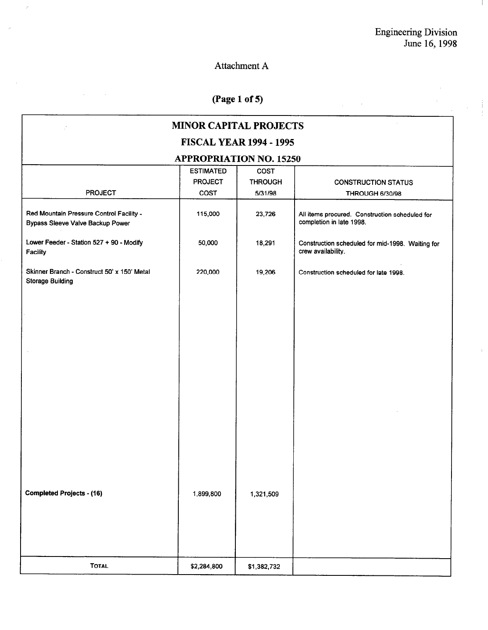$\hat{\mathcal{A}}$ 

 $\mathbb{R}^n$ 

## Attachment A

 $\hat{\varphi}$ 

 $\sim$ 

## (Page 1 of 5)

| $\sim$<br>(Page 1 of 5)                                                      |                                            |                                   |                                                                            |  |  |  |  |
|------------------------------------------------------------------------------|--------------------------------------------|-----------------------------------|----------------------------------------------------------------------------|--|--|--|--|
| <b>MINOR CAPITAL PROJECTS</b>                                                |                                            |                                   |                                                                            |  |  |  |  |
| <b>FISCAL YEAR 1994 - 1995</b>                                               |                                            |                                   |                                                                            |  |  |  |  |
|                                                                              | <b>APPROPRIATION NO. 15250</b>             |                                   |                                                                            |  |  |  |  |
| <b>PROJECT</b>                                                               | <b>ESTIMATED</b><br><b>PROJECT</b><br>COST | COST<br><b>THROUGH</b><br>5/31/98 | <b>CONSTRUCTION STATUS</b><br><b>THROUGH 6/30/98</b>                       |  |  |  |  |
| Red Mountain Pressure Control Facility -<br>Bypass Sleeve Valve Backup Power | 115,000                                    | 23,726                            | All items procured. Construction scheduled for<br>completion in late 1998. |  |  |  |  |
| Lower Feeder - Station 527 + 90 - Modify<br>Facility                         | 50,000                                     | 18,291                            | Construction scheduled for mid-1998. Waiting for<br>crew availability.     |  |  |  |  |
| Skinner Branch - Construct 50' x 150' Metal<br><b>Storage Building</b>       | 220,000                                    | 19,206                            | Construction scheduled for late 1998.                                      |  |  |  |  |
|                                                                              |                                            |                                   |                                                                            |  |  |  |  |
|                                                                              |                                            |                                   |                                                                            |  |  |  |  |
|                                                                              |                                            |                                   |                                                                            |  |  |  |  |
|                                                                              |                                            |                                   |                                                                            |  |  |  |  |
|                                                                              |                                            |                                   |                                                                            |  |  |  |  |
|                                                                              |                                            |                                   |                                                                            |  |  |  |  |
|                                                                              |                                            |                                   |                                                                            |  |  |  |  |
|                                                                              |                                            |                                   |                                                                            |  |  |  |  |
| <b>Completed Projects - (16)</b>                                             | 1,899,800                                  | 1,321,509                         |                                                                            |  |  |  |  |
|                                                                              |                                            |                                   |                                                                            |  |  |  |  |
|                                                                              |                                            |                                   |                                                                            |  |  |  |  |
| <b>TOTAL</b>                                                                 | \$2,284,800                                | \$1,382,732                       |                                                                            |  |  |  |  |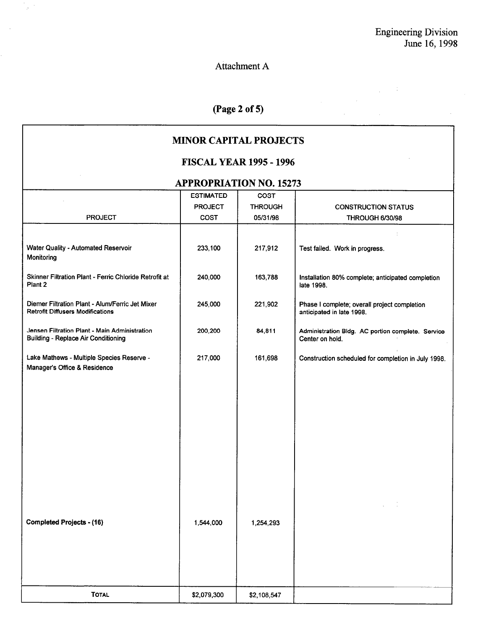$\mathcal{L}$ 

 $\mathcal{L}_{\rm{eff}}$ 

 $\sim$ 

 $\mathcal{L}_{\mathcal{L}}$ 

 $\hat{\mathcal{A}}$ 

 $\Delta \sim 10$ 

### Attachment A

ý.

## (Page 2 of 5)

#### MINOR CAPITAL PROJECTS

#### FISCAL YEAR 1995 - 1996

#### APPROPRIATION NO. 15273

| <b>IM I KOI KIIKITOR TOI 1927</b>                                                           |                  |                |                                                                           |  |  |
|---------------------------------------------------------------------------------------------|------------------|----------------|---------------------------------------------------------------------------|--|--|
|                                                                                             | <b>ESTIMATED</b> | <b>COST</b>    |                                                                           |  |  |
|                                                                                             | <b>PROJECT</b>   | <b>THROUGH</b> | <b>CONSTRUCTION STATUS</b>                                                |  |  |
| <b>PROJECT</b>                                                                              | <b>COST</b>      | 05/31/98       | <b>THROUGH 6/30/98</b>                                                    |  |  |
|                                                                                             |                  |                |                                                                           |  |  |
| Water Quality - Automated Reservoir<br>Monitoring                                           | 233,100          | 217,912        | Test failed. Work in progress.                                            |  |  |
| Skinner Filtration Plant - Ferric Chloride Retrofit at<br>Plant 2                           | 240,000          | 163,788        | Installation 80% complete; anticipated completion<br>late 1998.           |  |  |
| Diemer Filtration Plant - Alum/Ferric Jet Mixer<br><b>Retrofit Diffusers Modifications</b>  | 245,000          | 221,902        | Phase I complete; overall project completion<br>anticipated in late 1998. |  |  |
| Jensen Filtration Plant - Main Administration<br><b>Building - Replace Air Conditioning</b> | 200,200          | 84,811         | Administration Bldg. AC portion complete. Service<br>Center on hold.      |  |  |
| Lake Mathews - Multiple Species Reserve -<br>Manager's Office & Residence                   | 217,000          | 161,698        | Construction scheduled for completion in July 1998.                       |  |  |
|                                                                                             |                  |                |                                                                           |  |  |
|                                                                                             |                  |                |                                                                           |  |  |
|                                                                                             |                  |                |                                                                           |  |  |
|                                                                                             |                  |                |                                                                           |  |  |
| <b>Completed Projects - (16)</b>                                                            | 1,544,000        | 1,254,293      |                                                                           |  |  |
|                                                                                             |                  |                |                                                                           |  |  |
| <b>TOTAL</b>                                                                                | \$2,079,300      | \$2,108,547    |                                                                           |  |  |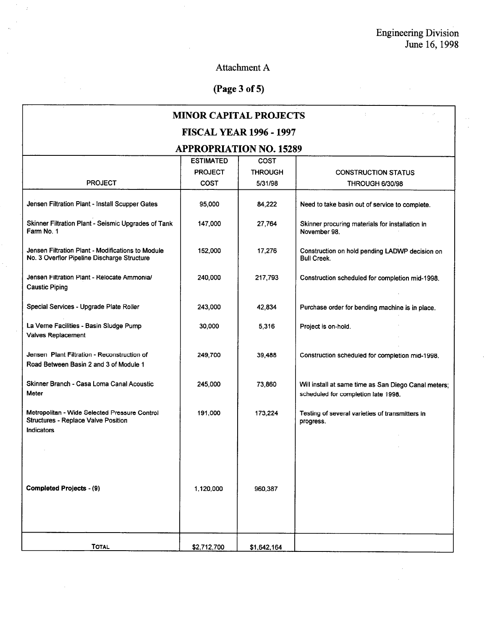$\hat{\mathcal{A}}$  $\bar{z}$ 

 $\bar{z}$ 

## Attachment A

# (Page 3 of 5)

l.

 $\bar{z}$ 

| <b>MINOR CAPITAL PROJECTS</b>                                                                                    |                  |                |                                                                                             |  |
|------------------------------------------------------------------------------------------------------------------|------------------|----------------|---------------------------------------------------------------------------------------------|--|
| <b>FISCAL YEAR 1996 - 1997</b>                                                                                   |                  |                |                                                                                             |  |
| <b>APPROPRIATION NO. 15289</b>                                                                                   |                  |                |                                                                                             |  |
|                                                                                                                  | <b>ESTIMATED</b> | <b>COST</b>    |                                                                                             |  |
|                                                                                                                  | <b>PROJECT</b>   | <b>THROUGH</b> | <b>CONSTRUCTION STATUS</b>                                                                  |  |
| <b>PROJECT</b>                                                                                                   | COST             | 5/31/98        | <b>THROUGH 6/30/98</b>                                                                      |  |
| Jensen Filtration Plant - Install Scupper Gates                                                                  | 95,000           | 84,222         | Need to take basin out of service to complete.                                              |  |
| Skinner Filtration Plant - Seismic Upgrades of Tank<br>Farm No. 1                                                | 147,000          | 27,764         | Skinner procuring materials for installation in<br>November 98.                             |  |
| Jensen Filtration Plant - Modifications to Module<br>No. 3 Overflor Pipeline Discharge Structure                 | 152,000          | 17,276         | Construction on hold pending LADWP decision on<br><b>Bull Creek.</b>                        |  |
| Jensen Filtration Plant - Relocate Ammonia/<br><b>Caustic Piping</b>                                             | 240,000          | 217,793        | Construction scheduled for completion mid-1998.                                             |  |
| Special Services - Upgrade Plate Roller                                                                          | 243,000          | 42,834         | Purchase order for bending machine is in place.                                             |  |
| La Verne Facilities - Basin Sludge Pump<br>Valves Replacement                                                    | 30,000           | 5,316          | Project is on-hold.                                                                         |  |
| Jensen Plant Filtration - Reconstruction of<br>Road Between Basin 2 and 3 of Module 1                            | 249,700          | 39,488         | Construction scheduled for completion mid-1998.                                             |  |
| Skinner Branch - Casa Loma Canal Acoustic<br>Meter                                                               | 245,000          | 73,860         | Will install at same time as San Diego Canal meters;<br>scheduled for completion late 1998. |  |
| Metropolitan - Wide Selected Pressure Control<br><b>Structures - Replace Valve Position</b><br><b>Indicators</b> | 191,000          | 173,224        | Testing of several varieties of transmitters in<br>progress.                                |  |
| <b>Completed Projects - (9)</b>                                                                                  | 1,120,000        | 960,387        |                                                                                             |  |
| <b>TOTAL</b>                                                                                                     | \$2,712,700      | \$1,642,164    |                                                                                             |  |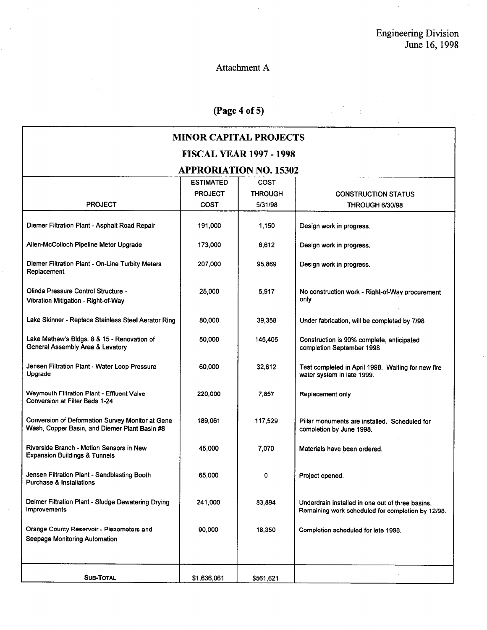$\frac{1}{2}$  .

#### Attachment A

 $\overline{\phantom{a}}$ 

# (Page 4 of 5)

| <b>MINOR CAPITAL PROJECTS</b> |  |
|-------------------------------|--|
|-------------------------------|--|

## FISCAL YEAR 1997 - 1998

#### APPRORIATION NO. 15302

|                                                                                                   | <b>ESTIMATED</b> | <b>COST</b>    |                                                                                                       |
|---------------------------------------------------------------------------------------------------|------------------|----------------|-------------------------------------------------------------------------------------------------------|
|                                                                                                   | <b>PROJECT</b>   | <b>THROUGH</b> | <b>CONSTRUCTION STATUS</b>                                                                            |
| <b>PROJECT</b>                                                                                    | COST             | 5/31/98        | <b>THROUGH 6/30/98</b>                                                                                |
| Diemer Filtration Plant - Asphalt Road Repair                                                     | 191.000          | 1.150          | Design work in progress.                                                                              |
| Allen-McColloch Pipeline Meter Upgrade                                                            | 173,000          | 6.612          | Design work in progress.                                                                              |
| Diemer Filtration Plant - On-Line Turbity Meters<br>Replacement                                   | 207,000          | 95,869         | Design work in progress.                                                                              |
| Olinda Pressure Control Structure -<br>Vibration Mitigation - Right-of-Way                        | 25,000           | 5,917          | No construction work - Right-of-Way procurement<br>only                                               |
| Lake Skinner - Replace Stainless Steel Aerator Ring                                               | 80,000           | 39,358         | Under fabrication, will be completed by 7/98                                                          |
| Lake Mathew's Bldgs. 8 & 15 - Renovation of<br>General Assembly Area & Lavatory                   | 50,000           | 145,405        | Construction is 90% complete, anticipated<br>completion September 1998                                |
| Jensen Filtration Plant - Water Loop Pressure<br>Upgrade                                          | 60,000           | 32,612         | Test completed in April 1998. Waiting for new fire<br>water system in late 1999.                      |
| Weymouth Filtration Plant - Effluent Valve<br>Conversion at Filter Beds 1-24                      | 220,000          | 7.857          | Replacement only                                                                                      |
| Conversion of Deformation Survey Monitor at Gene<br>Wash, Copper Basin, and Diemer Plant Basin #8 | 189.061          | 117,529        | Pillar monuments are installed. Scheduled for<br>completion by June 1998.                             |
| Riverside Branch - Motion Sensors in New<br><b>Expansion Buildings &amp; Tunnels</b>              | 45,000           | 7,070          | Materials have been ordered.                                                                          |
| Jensen Filtration Plant - Sandblasting Booth<br><b>Purchase &amp; Installations</b>               | 65,000           | 0              | Project opened.                                                                                       |
| Deimer Filtration Plant - Sludge Dewatering Drying<br>Improvements                                | 241,000          | 83,894         | Underdrain installed in one out of three basins.<br>Remaining work scheduled for completion by 12/98. |
| Orange County Reservoir - Piezometers and<br>Seepage Monitoring Automation                        | 90,000           | 18,350         | Completion scheduled for late 1998.                                                                   |
|                                                                                                   |                  |                |                                                                                                       |
| <b>SUB-TOTAL</b>                                                                                  | \$1,636,061      | \$561.621      |                                                                                                       |